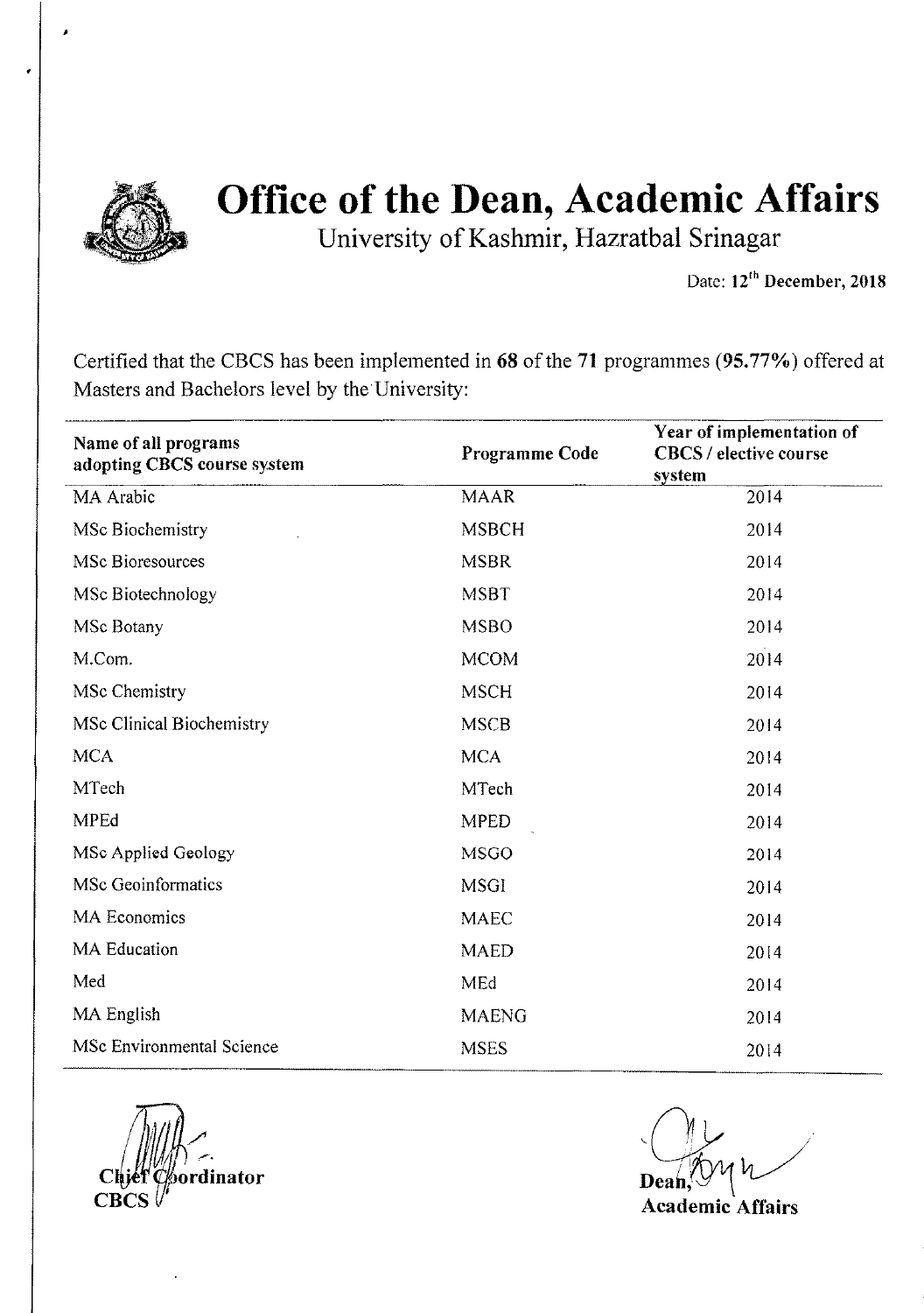

University of Kashmir, Hazratbal Srinagar

Date: 12<sup>th</sup> December, 2018

Certified that the CBCS has been implemented in 68 of the 71 programmes (95.77%) offered at Masters and Bachelors level by the University:

| Name of all programs<br>adopting CBCS course system | Programme Code | Year of implementation of<br><b>CBCS / elective course</b><br>system |
|-----------------------------------------------------|----------------|----------------------------------------------------------------------|
| MA Arabic                                           | <b>MAAR</b>    | 2014                                                                 |
| MSc Biochemistry                                    | <b>MSBCH</b>   | 2014                                                                 |
| <b>MSc Bioresources</b>                             | <b>MSBR</b>    | 2014                                                                 |
| MSc Biotechnology                                   | <b>MSBT</b>    | 2014                                                                 |
| <b>MSc Botany</b>                                   | <b>MSBO</b>    | 2014                                                                 |
| M.Com.                                              | <b>MCOM</b>    | 2014                                                                 |
| MSc Chemistry                                       | <b>MSCH</b>    | 2014                                                                 |
| <b>MSc Clinical Biochemistry</b>                    | <b>MSCB</b>    | 2014                                                                 |
| <b>MCA</b>                                          | <b>MCA</b>     | 2014                                                                 |
| MTech                                               | <b>MTech</b>   | 2014                                                                 |
| <b>MPEd</b>                                         | <b>MPED</b>    | 2014                                                                 |
| MSc Applied Geology                                 | <b>MSGO</b>    | 2014                                                                 |
| <b>MSc Geoinformatics</b>                           | <b>MSGI</b>    | 2014                                                                 |
| <b>MA Economics</b>                                 | <b>MAEC</b>    | 2014                                                                 |
| <b>MA</b> Education                                 | <b>MAED</b>    | 2014                                                                 |
| Med                                                 | MEd            | 2014                                                                 |
| MA English                                          | <b>MAENG</b>   | 2014                                                                 |
| <b>MSc Environmental Science</b>                    | <b>MSES</b>    | 2014                                                                 |

dinator

,~ .  $Dean, W$ 

Academic Affairs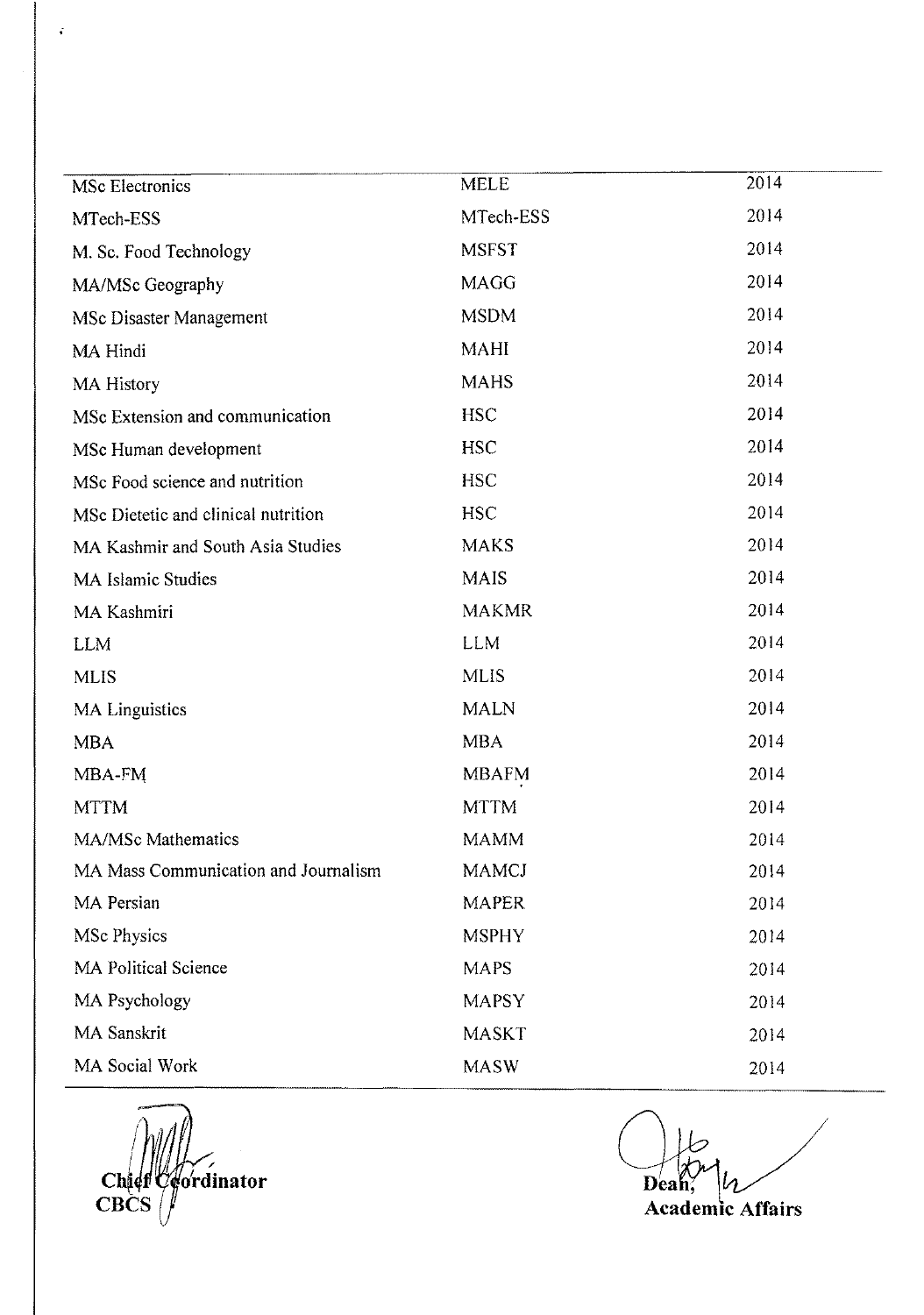| MSc Electronics                      | <b>MELE</b>  | 2014 |
|--------------------------------------|--------------|------|
| MTech-ESS                            | MTech-ESS    | 2014 |
| M. Sc. Food Technology               | <b>MSFST</b> | 2014 |
| MA/MSc Geography                     | <b>MAGG</b>  | 2014 |
| MSc Disaster Management              | <b>MSDM</b>  | 2014 |
| MA Hindi                             | <b>MAHI</b>  | 2014 |
| <b>MA History</b>                    | <b>MAHS</b>  | 2014 |
| MSc Extension and communication      | <b>HSC</b>   | 2014 |
| MSc Human development                | <b>HSC</b>   | 2014 |
| MSc Food science and nutrition       | <b>HSC</b>   | 2014 |
| MSc Dietetic and clinical nutrition  | <b>HSC</b>   | 2014 |
| MA Kashmir and South Asia Studies    | <b>MAKS</b>  | 2014 |
| <b>MA Islamic Studies</b>            | <b>MAIS</b>  | 2014 |
| MA Kashmiri                          | <b>MAKMR</b> | 2014 |
| <b>LLM</b>                           | <b>LLM</b>   | 2014 |
| <b>MLIS</b>                          | <b>MLIS</b>  | 2014 |
| MA Linguistics                       | <b>MALN</b>  | 2014 |
| <b>MBA</b>                           | <b>MBA</b>   | 2014 |
| MBA-FM                               | <b>MBAFM</b> | 2014 |
| <b>MTTM</b>                          | <b>MTTM</b>  | 2014 |
| MA/MSc Mathematics                   | <b>MAMM</b>  | 2014 |
| MA Mass Communication and Journalism | <b>MAMCJ</b> | 2014 |
| MA Persian                           | <b>MAPER</b> | 2014 |
| MSc Physics                          | <b>MSPHY</b> | 2014 |
| <b>MA Political Science</b>          | <b>MAPS</b>  | 2014 |
| MA Psychology                        | <b>MAPSY</b> | 2014 |
| <b>MA Sanskrit</b>                   | <b>MASKT</b> | 2014 |
| MA Social Work                       | <b>MASW</b>  | 2014 |

Chief Cordinator

 $\ddot{\bullet}$ 

Deah **Academic Affairs**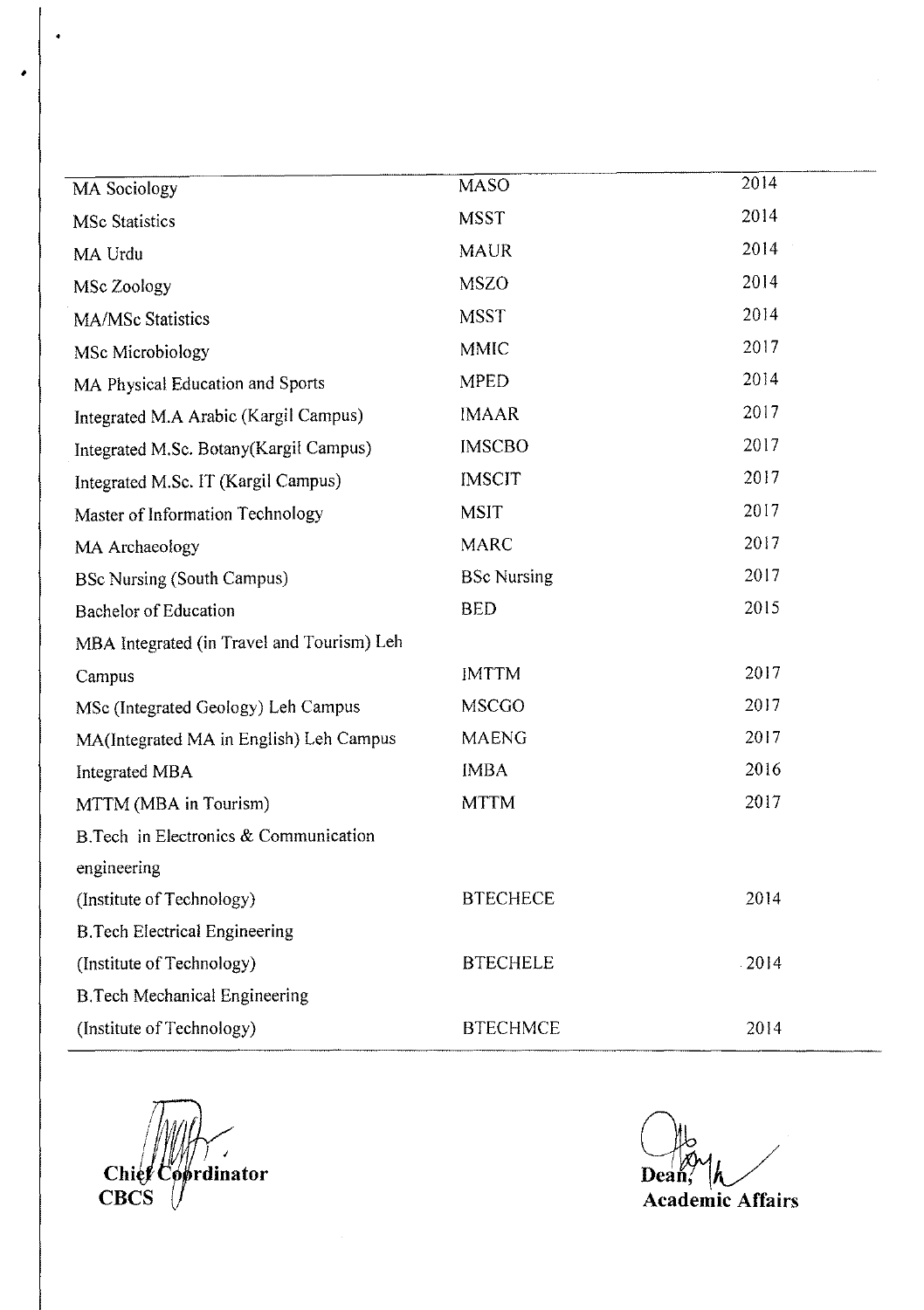| <b>MA</b> Sociology                        | <b>MASO</b>        | 2014    |
|--------------------------------------------|--------------------|---------|
| <b>MSc Statistics</b>                      | <b>MSST</b>        | 2014    |
| MA Urdu                                    | <b>MAUR</b>        | 2014    |
| MSc Zoology                                | <b>MSZO</b>        | 2014    |
| MA/MSc Statistics                          | <b>MSST</b>        | 2014    |
| MSc Microbiology                           | <b>MMIC</b>        | 2017    |
| MA Physical Education and Sports           | <b>MPED</b>        | 2014    |
| Integrated M.A Arabic (Kargil Campus)      | <b>IMAAR</b>       | 2017    |
| Integrated M.Sc. Botany(Kargil Campus)     | <b>IMSCBO</b>      | 2017    |
| Integrated M.Sc. IT (Kargil Campus)        | <b>IMSCIT</b>      | 2017    |
| Master of Information Technology           | <b>MSIT</b>        | 2017    |
| MA Archaeology                             | <b>MARC</b>        | 2017    |
| <b>BSc Nursing (South Campus)</b>          | <b>BSc Nursing</b> | 2017    |
| <b>Bachelor of Education</b>               | <b>BED</b>         | 2015    |
| MBA Integrated (in Travel and Tourism) Leh |                    |         |
| Campus                                     | <b>IMTTM</b>       | 2017    |
| MSc (Integrated Geology) Leh Campus        | <b>MSCGO</b>       | 2017    |
| MA(Integrated MA in English) Leh Campus    | <b>MAENG</b>       | 2017    |
| <b>Integrated MBA</b>                      | <b>IMBA</b>        | 2016    |
| MTTM (MBA in Tourism)                      | <b>MTTM</b>        | 2017    |
| B. Tech in Electronics & Communication     |                    |         |
| engineering                                |                    |         |
| (Institute of Technology)                  | <b>BTECHECE</b>    | 2014    |
| <b>B.Tech Electrical Engineering</b>       |                    |         |
| (Institute of Technology)                  | <b>BTECHELE</b>    | $-2014$ |
| <b>B.Tech Mechanical Engineering</b>       |                    |         |
| (Institute of Technology)                  | <b>BTECHMCE</b>    | 2014    |

 $\overline{\mathcal{L}}$ Chief Coprdinator

*<u>Dean, Indian Community</u>*<br> **Academic Affairs**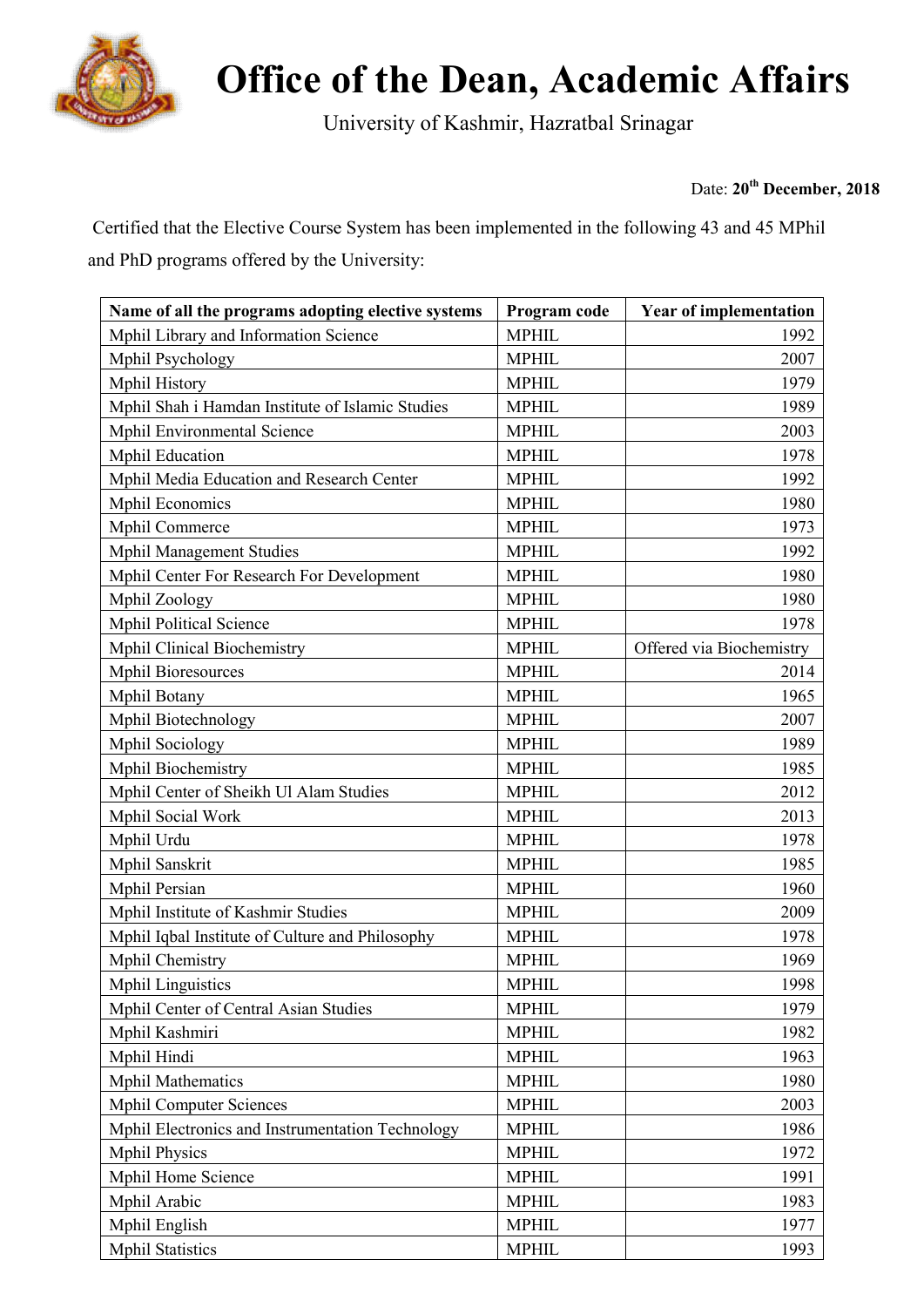

University of Kashmir, Hazratbal Srinagar Hazratbal Srinagar

Date: **20th December, 2018**

Certified that the Elective Course System has been implemented in the following 43 and 45 MPhil and PhD programs offered by the University:

| Name of all the programs adopting elective systems | Program code | <b>Year of implementation</b> |
|----------------------------------------------------|--------------|-------------------------------|
| Mphil Library and Information Science              | <b>MPHIL</b> | 1992                          |
| Mphil Psychology                                   | <b>MPHIL</b> | 2007                          |
| Mphil History                                      | <b>MPHIL</b> | 1979                          |
| Mphil Shah i Hamdan Institute of Islamic Studies   | <b>MPHIL</b> | 1989                          |
| Mphil Environmental Science                        | <b>MPHIL</b> | 2003                          |
| <b>Mphil Education</b>                             | <b>MPHIL</b> | 1978                          |
| Mphil Media Education and Research Center          | <b>MPHIL</b> | 1992                          |
| <b>Mphil Economics</b>                             | <b>MPHIL</b> | 1980                          |
| Mphil Commerce                                     | <b>MPHIL</b> | 1973                          |
| <b>Mphil Management Studies</b>                    | <b>MPHIL</b> | 1992                          |
| Mphil Center For Research For Development          | <b>MPHIL</b> | 1980                          |
| Mphil Zoology                                      | <b>MPHIL</b> | 1980                          |
| <b>Mphil Political Science</b>                     | <b>MPHIL</b> | 1978                          |
| <b>Mphil Clinical Biochemistry</b>                 | <b>MPHIL</b> | Offered via Biochemistry      |
| <b>Mphil Bioresources</b>                          | <b>MPHIL</b> | 2014                          |
| Mphil Botany                                       | <b>MPHIL</b> | 1965                          |
| Mphil Biotechnology                                | <b>MPHIL</b> | 2007                          |
| Mphil Sociology                                    | <b>MPHIL</b> | 1989                          |
| Mphil Biochemistry                                 | <b>MPHIL</b> | 1985                          |
| Mphil Center of Sheikh Ul Alam Studies             | <b>MPHIL</b> | 2012                          |
| Mphil Social Work                                  | <b>MPHIL</b> | 2013                          |
| Mphil Urdu                                         | <b>MPHIL</b> | 1978                          |
| Mphil Sanskrit                                     | <b>MPHIL</b> | 1985                          |
| Mphil Persian                                      | <b>MPHIL</b> | 1960                          |
| Mphil Institute of Kashmir Studies                 | <b>MPHIL</b> | 2009                          |
| Mphil Iqbal Institute of Culture and Philosophy    | <b>MPHIL</b> | 1978                          |
| Mphil Chemistry                                    | <b>MPHIL</b> | 1969                          |
| <b>Mphil Linguistics</b>                           | <b>MPHIL</b> | 1998                          |
| Mphil Center of Central Asian Studies              | <b>MPHIL</b> | 1979                          |
| Mphil Kashmiri                                     | <b>MPHIL</b> | 1982                          |
| Mphil Hindi                                        | <b>MPHIL</b> | 1963                          |
| <b>Mphil Mathematics</b>                           | <b>MPHIL</b> | 1980                          |
| <b>Mphil Computer Sciences</b>                     | <b>MPHIL</b> | 2003                          |
| Mphil Electronics and Instrumentation Technology   | <b>MPHIL</b> | 1986                          |
| <b>Mphil Physics</b>                               | <b>MPHIL</b> | 1972                          |
| Mphil Home Science                                 | <b>MPHIL</b> | 1991                          |
| Mphil Arabic                                       | <b>MPHIL</b> | 1983                          |
| Mphil English                                      | <b>MPHIL</b> | 1977                          |
| <b>Mphil Statistics</b>                            | <b>MPHIL</b> | 1993                          |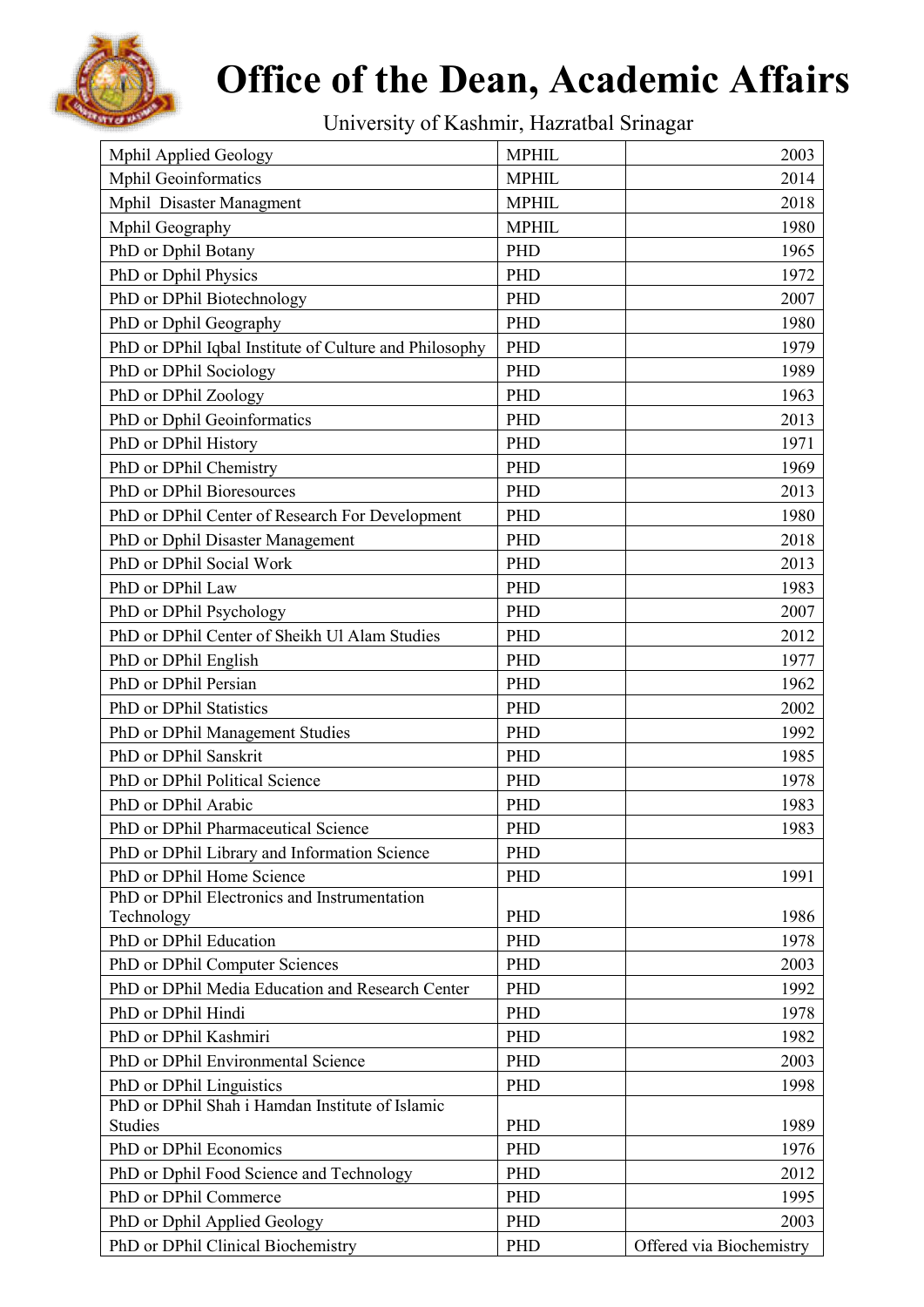

University of Kashmir, Hazratbal Srinagar Hazratbal Srinagar

| Mphil Applied Geology                                  | <b>MPHIL</b> | 2003                     |
|--------------------------------------------------------|--------------|--------------------------|
| <b>Mphil Geoinformatics</b>                            | <b>MPHIL</b> | 2014                     |
| Mphil Disaster Managment                               | <b>MPHIL</b> | 2018                     |
| Mphil Geography                                        | <b>MPHIL</b> | 1980                     |
| PhD or Dphil Botany                                    | PHD          | 1965                     |
| PhD or Dphil Physics                                   | PHD          | 1972                     |
| PhD or DPhil Biotechnology                             | PHD          | 2007                     |
| PhD or Dphil Geography                                 | PHD          | 1980                     |
| PhD or DPhil Iqbal Institute of Culture and Philosophy | PHD          | 1979                     |
| PhD or DPhil Sociology                                 | PHD          | 1989                     |
| PhD or DPhil Zoology                                   | PHD          | 1963                     |
| PhD or Dphil Geoinformatics                            | <b>PHD</b>   | 2013                     |
| PhD or DPhil History                                   | PHD          | 1971                     |
| PhD or DPhil Chemistry                                 | <b>PHD</b>   | 1969                     |
| PhD or DPhil Bioresources                              | PHD          | 2013                     |
| PhD or DPhil Center of Research For Development        | <b>PHD</b>   | 1980                     |
| PhD or Dphil Disaster Management                       | PHD          | 2018                     |
| PhD or DPhil Social Work                               | <b>PHD</b>   | 2013                     |
| PhD or DPhil Law                                       | <b>PHD</b>   | 1983                     |
| PhD or DPhil Psychology                                | PHD          | 2007                     |
| PhD or DPhil Center of Sheikh Ul Alam Studies          | PHD          | 2012                     |
| PhD or DPhil English                                   | <b>PHD</b>   | 1977                     |
| PhD or DPhil Persian                                   | <b>PHD</b>   | 1962                     |
| PhD or DPhil Statistics                                | PHD          | 2002                     |
| PhD or DPhil Management Studies                        | PHD          | 1992                     |
| PhD or DPhil Sanskrit                                  | PHD          | 1985                     |
| PhD or DPhil Political Science                         | PHD          | 1978                     |
| PhD or DPhil Arabic                                    | PHD          | 1983                     |
| PhD or DPhil Pharmaceutical Science                    | PHD          | 1983                     |
| PhD or DPhil Library and Information Science           | <b>PHD</b>   |                          |
| PhD or DPhil Home Science                              | PHD          | 1991                     |
| PhD or DPhil Electronics and Instrumentation           |              |                          |
| Technology                                             | <b>PHD</b>   | 1986                     |
| PhD or DPhil Education                                 | <b>PHD</b>   | 1978                     |
| PhD or DPhil Computer Sciences                         | PHD          | 2003                     |
| PhD or DPhil Media Education and Research Center       | PHD          | 1992                     |
| PhD or DPhil Hindi                                     | PHD          | 1978                     |
| PhD or DPhil Kashmiri                                  | <b>PHD</b>   | 1982                     |
| PhD or DPhil Environmental Science                     | PHD          | 2003                     |
| PhD or DPhil Linguistics                               | PHD          | 1998                     |
| PhD or DPhil Shah i Hamdan Institute of Islamic        |              |                          |
| Studies                                                | PHD          | 1989                     |
| PhD or DPhil Economics                                 | PHD          | 1976                     |
| PhD or Dphil Food Science and Technology               | PHD          | 2012                     |
| PhD or DPhil Commerce                                  | PHD          | 1995                     |
| PhD or Dphil Applied Geology                           | <b>PHD</b>   | 2003                     |
| PhD or DPhil Clinical Biochemistry                     | PHD          | Offered via Biochemistry |